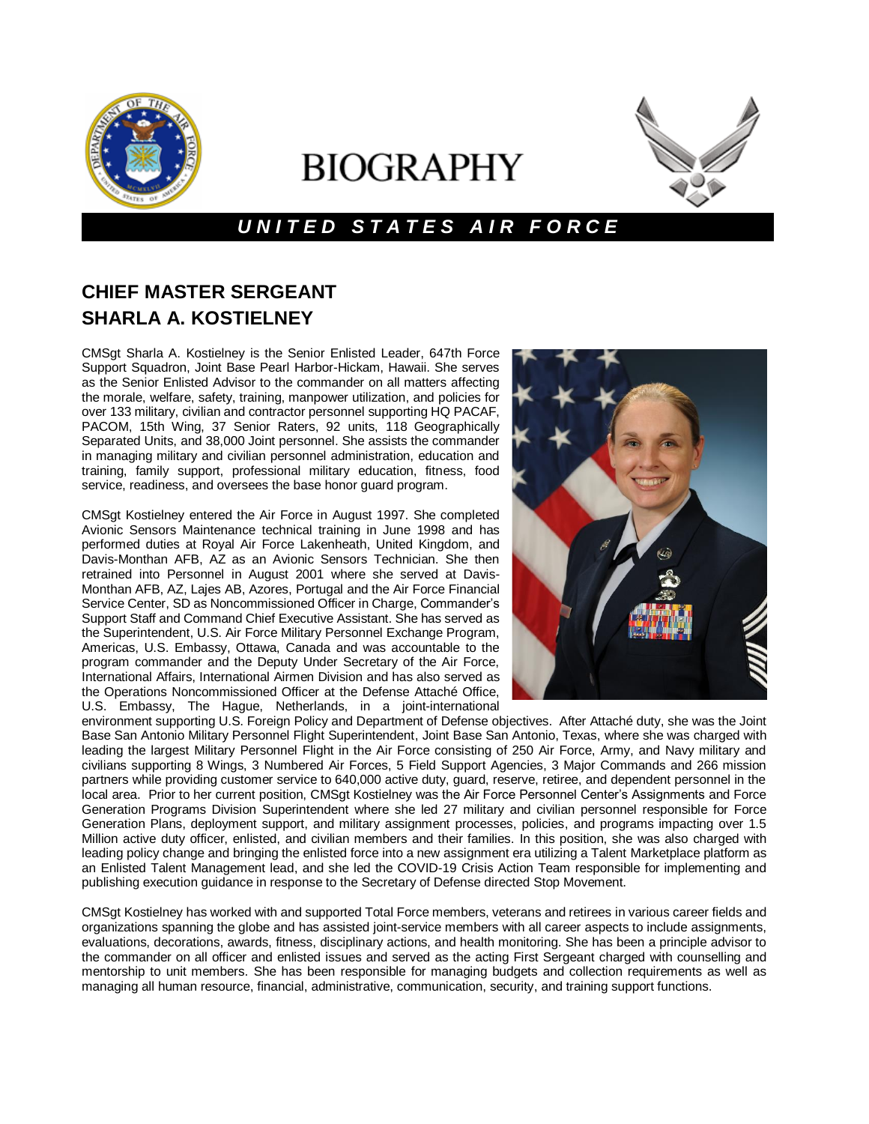

# **BIOGRAPHY**



### *U N I T E D S T A T E S A I R F O R C E*

## **CHIEF MASTER SERGEANT SHARLA A. KOSTIELNEY**

CMSgt Sharla A. Kostielney is the Senior Enlisted Leader, 647th Force Support Squadron, Joint Base Pearl Harbor-Hickam, Hawaii. She serves as the Senior Enlisted Advisor to the commander on all matters affecting the morale, welfare, safety, training, manpower utilization, and policies for over 133 military, civilian and contractor personnel supporting HQ PACAF, PACOM, 15th Wing, 37 Senior Raters, 92 units, 118 Geographically Separated Units, and 38,000 Joint personnel. She assists the commander in managing military and civilian personnel administration, education and training, family support, professional military education, fitness, food service, readiness, and oversees the base honor guard program.

CMSgt Kostielney entered the Air Force in August 1997. She completed Avionic Sensors Maintenance technical training in June 1998 and has performed duties at Royal Air Force Lakenheath, United Kingdom, and Davis-Monthan AFB, AZ as an Avionic Sensors Technician. She then retrained into Personnel in August 2001 where she served at Davis-Monthan AFB, AZ, Lajes AB, Azores, Portugal and the Air Force Financial Service Center, SD as Noncommissioned Officer in Charge, Commander's Support Staff and Command Chief Executive Assistant. She has served as the Superintendent, U.S. Air Force Military Personnel Exchange Program, Americas, U.S. Embassy, Ottawa, Canada and was accountable to the program commander and the Deputy Under Secretary of the Air Force, International Affairs, International Airmen Division and has also served as the Operations Noncommissioned Officer at the Defense Attaché Office, U.S. Embassy, The Hague, Netherlands, in a joint-international



environment supporting U.S. Foreign Policy and Department of Defense objectives. After Attaché duty, she was the Joint Base San Antonio Military Personnel Flight Superintendent, Joint Base San Antonio, Texas, where she was charged with leading the largest Military Personnel Flight in the Air Force consisting of 250 Air Force, Army, and Navy military and civilians supporting 8 Wings, 3 Numbered Air Forces, 5 Field Support Agencies, 3 Major Commands and 266 mission partners while providing customer service to 640,000 active duty, guard, reserve, retiree, and dependent personnel in the local area. Prior to her current position, CMSgt Kostielney was the Air Force Personnel Center's Assignments and Force Generation Programs Division Superintendent where she led 27 military and civilian personnel responsible for Force Generation Plans, deployment support, and military assignment processes, policies, and programs impacting over 1.5 Million active duty officer, enlisted, and civilian members and their families. In this position, she was also charged with leading policy change and bringing the enlisted force into a new assignment era utilizing a Talent Marketplace platform as an Enlisted Talent Management lead, and she led the COVID-19 Crisis Action Team responsible for implementing and publishing execution guidance in response to the Secretary of Defense directed Stop Movement.

CMSgt Kostielney has worked with and supported Total Force members, veterans and retirees in various career fields and organizations spanning the globe and has assisted joint-service members with all career aspects to include assignments, evaluations, decorations, awards, fitness, disciplinary actions, and health monitoring. She has been a principle advisor to the commander on all officer and enlisted issues and served as the acting First Sergeant charged with counselling and mentorship to unit members. She has been responsible for managing budgets and collection requirements as well as managing all human resource, financial, administrative, communication, security, and training support functions.